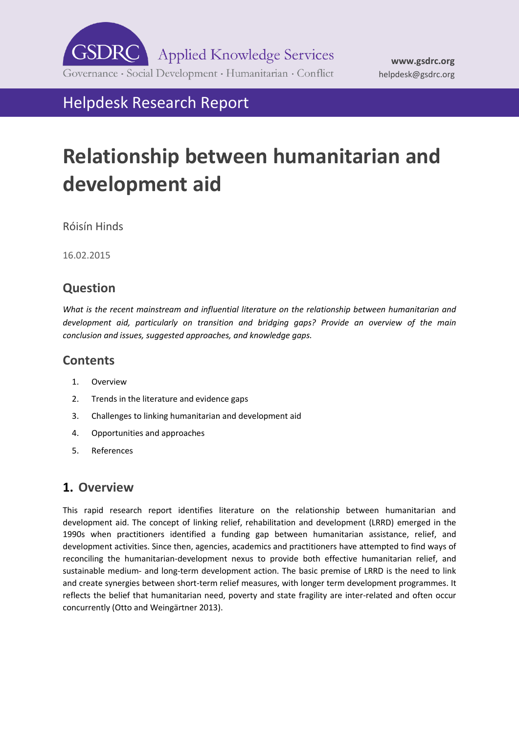

Helpdesk Research Report

# **Relationship between humanitarian and development aid**

Róisín Hinds

16.02.2015

## **Question**

*What is the recent mainstream and influential literature on the relationship between humanitarian and development aid, particularly on transition and bridging gaps? Provide an overview of the main conclusion and issues, suggested approaches, and knowledge gaps.* 

## **Contents**

- 1. [Overview](#page-0-0)
- 2. [Trends in the literature and evidence gaps](#page-2-0)
- 3. [Challenges to linking humanitarian and development aid](#page-3-0)
- 4. [Opportunities and approaches](#page-5-0)
- 5. [References](#page-8-0)

# <span id="page-0-0"></span>**1. Overview**

This rapid research report identifies literature on the relationship between humanitarian and development aid. The concept of linking relief, rehabilitation and development (LRRD) emerged in the 1990s when practitioners identified a funding gap between humanitarian assistance, relief, and development activities. Since then, agencies, academics and practitioners have attempted to find ways of reconciling the humanitarian-development nexus to provide both effective humanitarian relief, and sustainable medium- and long-term development action. The basic premise of LRRD is the need to link and create synergies between short-term relief measures, with longer term development programmes. It reflects the belief that humanitarian need, poverty and state fragility are inter-related and often occur concurrently (Otto and Weingärtner 2013).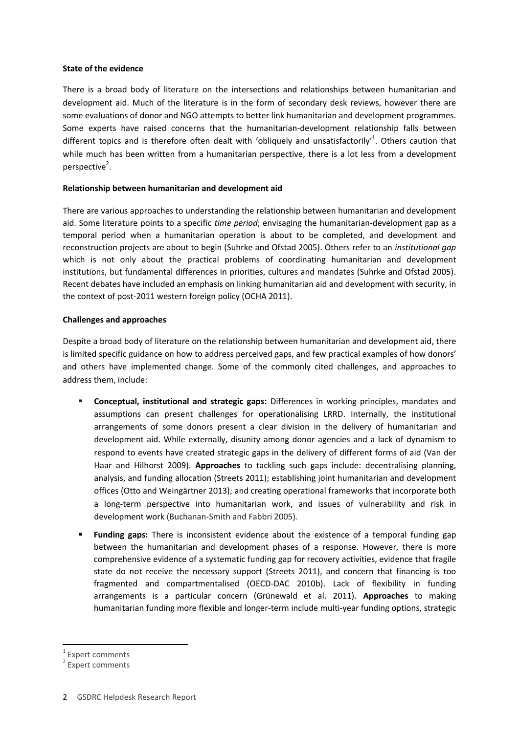#### **State of the evidence**

There is a broad body of literature on the intersections and relationships between humanitarian and development aid. Much of the literature is in the form of secondary desk reviews, however there are some evaluations of donor and NGO attempts to better link humanitarian and development programmes. Some experts have raised concerns that the humanitarian-development relationship falls between different topics and is therefore often dealt with 'obliquely and unsatisfactorily'<sup>1</sup>. Others caution that while much has been written from a humanitarian perspective, there is a lot less from a development perspective<sup>2</sup>.

#### **Relationship between humanitarian and development aid**

There are various approaches to understanding the relationship between humanitarian and development aid. Some literature points to a specific *time period*; envisaging the humanitarian-development gap as a temporal period when a humanitarian operation is about to be completed, and development and reconstruction projects are about to begin (Suhrke and Ofstad 2005). Others refer to an *institutional gap*  which is not only about the practical problems of coordinating humanitarian and development institutions, but fundamental differences in priorities, cultures and mandates (Suhrke and Ofstad 2005). Recent debates have included an emphasis on linking humanitarian aid and development with security, in the context of post-2011 western foreign policy (OCHA 2011).

#### **Challenges and approaches**

Despite a broad body of literature on the relationship between humanitarian and development aid, there is limited specific guidance on how to address perceived gaps, and few practical examples of how donors' and others have implemented change. Some of the commonly cited challenges, and approaches to address them, include:

- **Conceptual, institutional and strategic gaps:** Differences in working principles, mandates and assumptions can present challenges for operationalising LRRD. Internally, the institutional arrangements of some donors present a clear division in the delivery of humanitarian and development aid. While externally, disunity among donor agencies and a lack of dynamism to respond to events have created strategic gaps in the delivery of different forms of aid (Van der Haar and Hilhorst 2009). **Approaches** to tackling such gaps include: decentralising planning, analysis, and funding allocation (Streets 2011); establishing joint humanitarian and development offices (Otto and Weingärtner 2013); and creating operational frameworks that incorporate both a long-term perspective into humanitarian work, and issues of vulnerability and risk in development work (Buchanan-Smith and Fabbri 2005).
- **Funding gaps:** There is inconsistent evidence about the existence of a temporal funding gap between the humanitarian and development phases of a response. However, there is more comprehensive evidence of a systematic funding gap for recovery activities, evidence that fragile state do not receive the necessary support (Streets 2011), and concern that financing is too fragmented and compartmentalised (OECD-DAC 2010b). Lack of flexibility in funding arrangements is a particular concern (Grünewald et al. 2011). **Approaches** to making humanitarian funding more flexible and longer-term include multi-year funding options, strategic

-

<sup>1</sup> Expert comments

<sup>&</sup>lt;sup>2</sup> Expert comments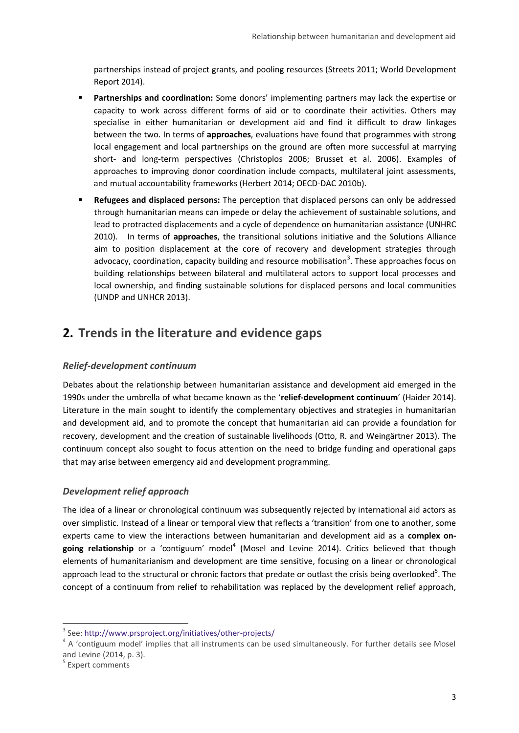partnerships instead of project grants, and pooling resources (Streets 2011; World Development Report 2014).

- **Partnerships and coordination:** Some donors' implementing partners may lack the expertise or capacity to work across different forms of aid or to coordinate their activities. Others may specialise in either humanitarian or development aid and find it difficult to draw linkages between the two. In terms of **approaches**, evaluations have found that programmes with strong local engagement and local partnerships on the ground are often more successful at marrying short- and long-term perspectives (Christoplos 2006; Brusset et al. 2006). Examples of approaches to improving donor coordination include compacts, multilateral joint assessments, and mutual accountability frameworks (Herbert 2014; OECD-DAC 2010b).
- **Refugees and displaced persons:** The perception that displaced persons can only be addressed through humanitarian means can impede or delay the achievement of sustainable solutions, and lead to protracted displacements and a cycle of dependence on humanitarian assistance (UNHRC 2010). In terms of **approaches**, the transitional solutions initiative and the Solutions Alliance aim to position displacement at the core of recovery and development strategies through advocacy, coordination, capacity building and resource mobilisation<sup>3</sup>. These approaches focus on building relationships between bilateral and multilateral actors to support local processes and local ownership, and finding sustainable solutions for displaced persons and local communities (UNDP and UNHCR 2013).

## <span id="page-2-0"></span>**2. Trends in the literature and evidence gaps**

#### *Relief-development continuum*

Debates about the relationship between humanitarian assistance and development aid emerged in the 1990s under the umbrella of what became known as the '**relief-development continuum**' (Haider 2014). Literature in the main sought to identify the complementary objectives and strategies in humanitarian and development aid, and to promote the concept that humanitarian aid can provide a foundation for recovery, development and the creation of sustainable livelihoods (Otto, R. and Weingärtner 2013). The continuum concept also sought to focus attention on the need to bridge funding and operational gaps that may arise between emergency aid and development programming.

#### *Development relief approach*

The idea of a linear or chronological continuum was subsequently rejected by international aid actors as over simplistic. Instead of a linear or temporal view that reflects a 'transition' from one to another, some experts came to view the interactions between humanitarian and development aid as a **complex on**going relationship or a 'contiguum' model<sup>4</sup> (Mosel and Levine 2014). Critics believed that though elements of humanitarianism and development are time sensitive, focusing on a linear or chronological approach lead to the structural or chronic factors that predate or outlast the crisis being overlooked<sup>5</sup>. The concept of a continuum from relief to rehabilitation was replaced by the development relief approach,

-

<sup>3</sup> See:<http://www.prsproject.org/initiatives/other-projects/>

<sup>&</sup>lt;sup>4</sup> A 'contiguum model' implies that all instruments can be used simultaneously. For further details see Mosel and Levine (2014, p. 3).

<sup>&</sup>lt;sup>5</sup> Expert comments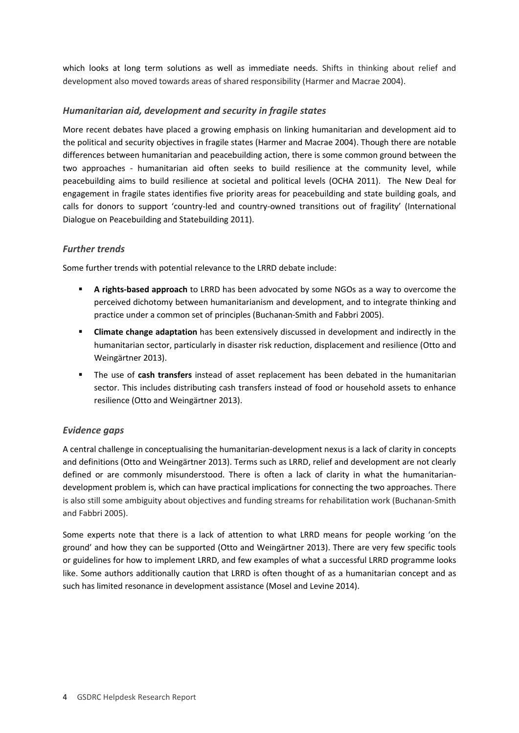which looks at long term solutions as well as immediate needs. Shifts in thinking about relief and development also moved towards areas of shared responsibility (Harmer and Macrae 2004).

#### *Humanitarian aid, development and security in fragile states*

More recent debates have placed a growing emphasis on linking humanitarian and development aid to the political and security objectives in fragile states (Harmer and Macrae 2004). Though there are notable differences between humanitarian and peacebuilding action, there is some common ground between the two approaches - humanitarian aid often seeks to build resilience at the community level, while peacebuilding aims to build resilience at societal and political levels (OCHA 2011). The New Deal for engagement in fragile states identifies five priority areas for peacebuilding and state building goals, and calls for donors to support 'country-led and country-owned transitions out of fragility' (International Dialogue on Peacebuilding and Statebuilding 2011).

#### *Further trends*

Some further trends with potential relevance to the LRRD debate include:

- **A rights-based approach** to LRRD has been advocated by some NGOs as a way to overcome the perceived dichotomy between humanitarianism and development, and to integrate thinking and practice under a common set of principles (Buchanan-Smith and Fabbri 2005).
- **Climate change adaptation** has been extensively discussed in development and indirectly in the humanitarian sector, particularly in disaster risk reduction, displacement and resilience (Otto and Weingärtner 2013).
- The use of **cash transfers** instead of asset replacement has been debated in the humanitarian sector. This includes distributing cash transfers instead of food or household assets to enhance resilience (Otto and Weingärtner 2013).

#### *Evidence gaps*

A central challenge in conceptualising the humanitarian-development nexus is a lack of clarity in concepts and definitions (Otto and Weingärtner 2013). Terms such as LRRD, relief and development are not clearly defined or are commonly misunderstood. There is often a lack of clarity in what the humanitariandevelopment problem is, which can have practical implications for connecting the two approaches. There is also still some ambiguity about objectives and funding streams for rehabilitation work (Buchanan-Smith and Fabbri 2005).

<span id="page-3-0"></span>Some experts note that there is a lack of attention to what LRRD means for people working 'on the ground' and how they can be supported (Otto and Weingärtner 2013). There are very few specific tools or guidelines for how to implement LRRD, and few examples of what a successful LRRD programme looks like. Some authors additionally caution that LRRD is often thought of as a humanitarian concept and as such has limited resonance in development assistance (Mosel and Levine 2014).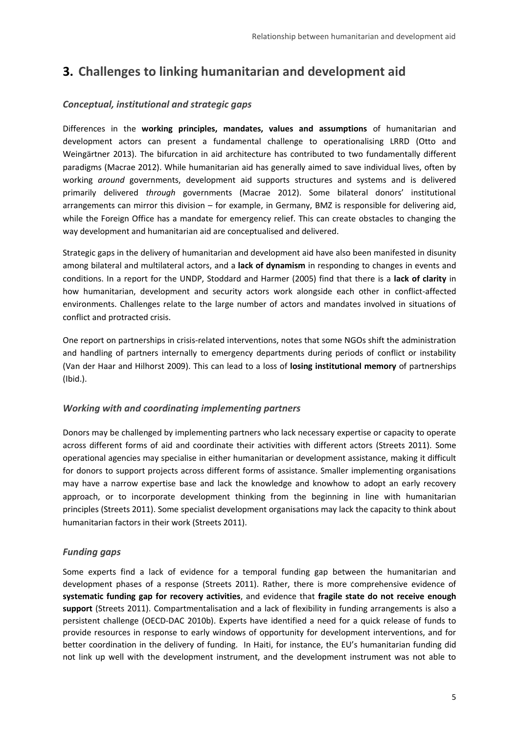# **3. Challenges to linking humanitarian and development aid**

#### *Conceptual, institutional and strategic gaps*

Differences in the **working principles, mandates, values and assumptions** of humanitarian and development actors can present a fundamental challenge to operationalising LRRD (Otto and Weingärtner 2013). The bifurcation in aid architecture has contributed to two fundamentally different paradigms (Macrae 2012). While humanitarian aid has generally aimed to save individual lives, often by working *around* governments, development aid supports structures and systems and is delivered primarily delivered *through* governments (Macrae 2012). Some bilateral donors' institutional arrangements can mirror this division – for example, in Germany, BMZ is responsible for delivering aid, while the Foreign Office has a mandate for emergency relief. This can create obstacles to changing the way development and humanitarian aid are conceptualised and delivered.

Strategic gaps in the delivery of humanitarian and development aid have also been manifested in disunity among bilateral and multilateral actors, and a **lack of dynamism** in responding to changes in events and conditions. In a report for the UNDP, Stoddard and Harmer (2005) find that there is a **lack of clarity** in how humanitarian, development and security actors work alongside each other in conflict-affected environments. Challenges relate to the large number of actors and mandates involved in situations of conflict and protracted crisis.

One report on partnerships in crisis-related interventions, notes that some NGOs shift the administration and handling of partners internally to emergency departments during periods of conflict or instability (Van der Haar and Hilhorst 2009). This can lead to a loss of **losing institutional memory** of partnerships (Ibid.).

#### *Working with and coordinating implementing partners*

Donors may be challenged by implementing partners who lack necessary expertise or capacity to operate across different forms of aid and coordinate their activities with different actors (Streets 2011). Some operational agencies may specialise in either humanitarian or development assistance, making it difficult for donors to support projects across different forms of assistance. Smaller implementing organisations may have a narrow expertise base and lack the knowledge and knowhow to adopt an early recovery approach, or to incorporate development thinking from the beginning in line with humanitarian principles (Streets 2011). Some specialist development organisations may lack the capacity to think about humanitarian factors in their work (Streets 2011).

#### *Funding gaps*

Some experts find a lack of evidence for a temporal funding gap between the humanitarian and development phases of a response (Streets 2011). Rather, there is more comprehensive evidence of **systematic funding gap for recovery activities**, and evidence that **fragile state do not receive enough support** (Streets 2011). Compartmentalisation and a lack of flexibility in funding arrangements is also a persistent challenge (OECD-DAC 2010b). Experts have identified a need for a quick release of funds to provide resources in response to early windows of opportunity for development interventions, and for better coordination in the delivery of funding. In Haiti, for instance, the EU's humanitarian funding did not link up well with the development instrument, and the development instrument was not able to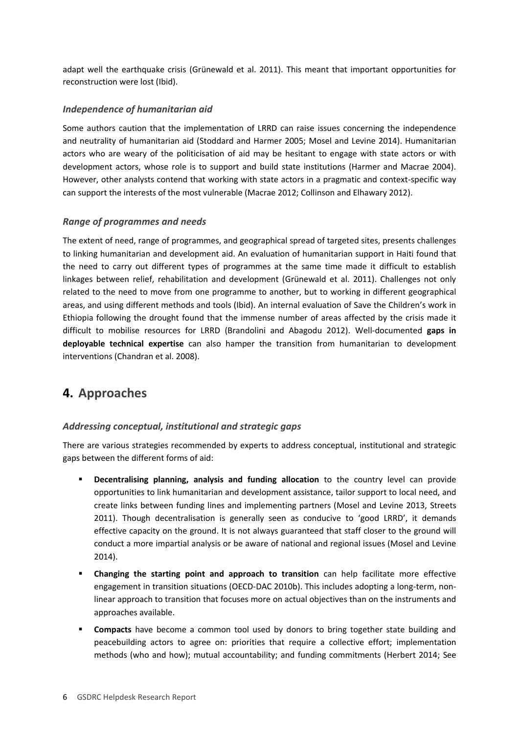adapt well the earthquake crisis (Grünewald et al. 2011). This meant that important opportunities for reconstruction were lost (Ibid).

#### *Independence of humanitarian aid*

Some authors caution that the implementation of LRRD can raise issues concerning the independence and neutrality of humanitarian aid (Stoddard and Harmer 2005; Mosel and Levine 2014). Humanitarian actors who are weary of the politicisation of aid may be hesitant to engage with state actors or with development actors, whose role is to support and build state institutions (Harmer and Macrae 2004). However, other analysts contend that working with state actors in a pragmatic and context-specific way can support the interests of the most vulnerable (Macrae 2012; Collinson and Elhawary 2012).

#### *Range of programmes and needs*

The extent of need, range of programmes, and geographical spread of targeted sites, presents challenges to linking humanitarian and development aid. An evaluation of humanitarian support in Haiti found that the need to carry out different types of programmes at the same time made it difficult to establish linkages between relief, rehabilitation and development (Grünewald et al. 2011). Challenges not only related to the need to move from one programme to another, but to working in different geographical areas, and using different methods and tools (Ibid). An internal evaluation of Save the Children's work in Ethiopia following the drought found that the immense number of areas affected by the crisis made it difficult to mobilise resources for LRRD (Brandolini and Abagodu 2012). Well-documented **gaps in deployable technical expertise** can also hamper the transition from humanitarian to development interventions (Chandran et al. 2008).

### <span id="page-5-0"></span>**4. Approaches**

#### *Addressing conceptual, institutional and strategic gaps*

There are various strategies recommended by experts to address conceptual, institutional and strategic gaps between the different forms of aid:

- **Decentralising planning, analysis and funding allocation** to the country level can provide opportunities to link humanitarian and development assistance, tailor support to local need, and create links between funding lines and implementing partners (Mosel and Levine 2013, Streets 2011). Though decentralisation is generally seen as conducive to 'good LRRD', it demands effective capacity on the ground. It is not always guaranteed that staff closer to the ground will conduct a more impartial analysis or be aware of national and regional issues (Mosel and Levine 2014).
- **Changing the starting point and approach to transition** can help facilitate more effective engagement in transition situations (OECD-DAC 2010b). This includes adopting a long-term, nonlinear approach to transition that focuses more on actual objectives than on the instruments and approaches available.
- **Compacts** have become a common tool used by donors to bring together state building and peacebuilding actors to agree on: priorities that require a collective effort; implementation methods (who and how); mutual accountability; and funding commitments (Herbert 2014; See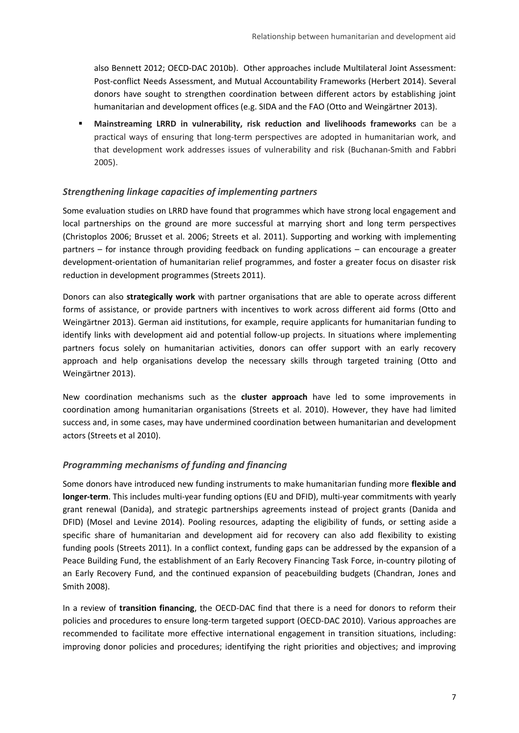also Bennett 2012; OECD-DAC 2010b). Other approaches include Multilateral Joint Assessment: Post-conflict Needs Assessment, and Mutual Accountability Frameworks (Herbert 2014). Several donors have sought to strengthen coordination between different actors by establishing joint humanitarian and development offices (e.g. SIDA and the FAO (Otto and Weingärtner 2013).

 **Mainstreaming LRRD in vulnerability, risk reduction and livelihoods frameworks** can be a practical ways of ensuring that long-term perspectives are adopted in humanitarian work, and that development work addresses issues of vulnerability and risk (Buchanan-Smith and Fabbri 2005).

#### *Strengthening linkage capacities of implementing partners*

Some evaluation studies on LRRD have found that programmes which have strong local engagement and local partnerships on the ground are more successful at marrying short and long term perspectives (Christoplos 2006; Brusset et al. 2006; Streets et al. 2011). Supporting and working with implementing partners – for instance through providing feedback on funding applications – can encourage a greater development-orientation of humanitarian relief programmes, and foster a greater focus on disaster risk reduction in development programmes (Streets 2011).

Donors can also **strategically work** with partner organisations that are able to operate across different forms of assistance, or provide partners with incentives to work across different aid forms (Otto and Weingärtner 2013). German aid institutions, for example, require applicants for humanitarian funding to identify links with development aid and potential follow-up projects. In situations where implementing partners focus solely on humanitarian activities, donors can offer support with an early recovery approach and help organisations develop the necessary skills through targeted training (Otto and Weingärtner 2013).

New coordination mechanisms such as the **cluster approach** have led to some improvements in coordination among humanitarian organisations (Streets et al. 2010). However, they have had limited success and, in some cases, may have undermined coordination between humanitarian and development actors (Streets et al 2010).

#### *Programming mechanisms of funding and financing*

Some donors have introduced new funding instruments to make humanitarian funding more **flexible and longer-term**. This includes multi-year funding options (EU and DFID), multi-year commitments with yearly grant renewal (Danida), and strategic partnerships agreements instead of project grants (Danida and DFID) (Mosel and Levine 2014). Pooling resources, adapting the eligibility of funds, or setting aside a specific share of humanitarian and development aid for recovery can also add flexibility to existing funding pools (Streets 2011). In a conflict context, funding gaps can be addressed by the expansion of a Peace Building Fund, the establishment of an Early Recovery Financing Task Force, in-country piloting of an Early Recovery Fund, and the continued expansion of peacebuilding budgets (Chandran, Jones and Smith 2008).

In a review of **transition financing**, the OECD-DAC find that there is a need for donors to reform their policies and procedures to ensure long-term targeted support (OECD-DAC 2010). Various approaches are recommended to facilitate more effective international engagement in transition situations, including: improving donor policies and procedures; identifying the right priorities and objectives; and improving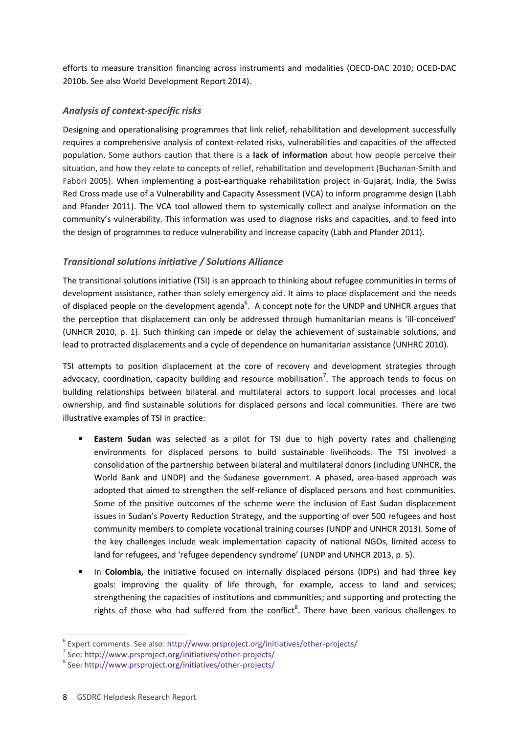efforts to measure transition financing across instruments and modalities (OECD-DAC 2010; OCED-DAC 2010b. See also World Development Report 2014).

#### *Analysis of context-specific risks*

Designing and operationalising programmes that link relief, rehabilitation and development successfully requires a comprehensive analysis of context-related risks, vulnerabilities and capacities of the affected population. Some authors caution that there is a **lack of information** about how people perceive their situation, and how they relate to concepts of relief, rehabilitation and development (Buchanan-Smith and Fabbri 2005). When implementing a post-earthquake rehabilitation project in Gujarat, India, the Swiss Red Cross made use of a Vulnerability and Capacity Assessment (VCA) to inform programme design (Labh and Pfander 2011). The VCA tool allowed them to systemically collect and analyse information on the community's vulnerability. This information was used to diagnose risks and capacities, and to feed into the design of programmes to reduce vulnerability and increase capacity (Labh and Pfander 2011).

#### *Transitional solutions initiative / Solutions Alliance*

The transitional solutions initiative (TSI) is an approach to thinking about refugee communities in terms of development assistance, rather than solely emergency aid. It aims to place displacement and the needs of displaced people on the development agenda<sup>6</sup>. A concept note for the UNDP and UNHCR argues that the perception that displacement can only be addressed through humanitarian means is 'ill-conceived' (UNHCR 2010, p. 1). Such thinking can impede or delay the achievement of sustainable solutions, and lead to protracted displacements and a cycle of dependence on humanitarian assistance (UNHRC 2010).

TSI attempts to position displacement at the core of recovery and development strategies through advocacy, coordination, capacity building and resource mobilisation<sup>7</sup>. The approach tends to focus on building relationships between bilateral and multilateral actors to support local processes and local ownership, and find sustainable solutions for displaced persons and local communities. There are two illustrative examples of TSI in practice:

- **Eastern Sudan** was selected as a pilot for TSI due to high poverty rates and challenging environments for displaced persons to build sustainable livelihoods. The TSI involved a consolidation of the partnership between bilateral and multilateral donors (including UNHCR, the World Bank and UNDP) and the Sudanese government. A phased, area-based approach was adopted that aimed to strengthen the self-reliance of displaced persons and host communities. Some of the positive outcomes of the scheme were the inclusion of East Sudan displacement issues in Sudan's Poverty Reduction Strategy, and the supporting of over 500 refugees and host community members to complete vocational training courses (UNDP and UNHCR 2013). Some of the key challenges include weak implementation capacity of national NGOs, limited access to land for refugees, and 'refugee dependency syndrome' (UNDP and UNHCR 2013, p. 5).
- In **Colombia,** the initiative focused on internally displaced persons (IDPs) and had three key goals: improving the quality of life through, for example, access to land and services; strengthening the capacities of institutions and communities; and supporting and protecting the rights of those who had suffered from the conflict<sup>8</sup>. There have been various challenges to

-

<sup>6</sup> Expert comments. See also:<http://www.prsproject.org/initiatives/other-projects/>

<sup>7</sup> See:<http://www.prsproject.org/initiatives/other-projects/>

<sup>8</sup> See:<http://www.prsproject.org/initiatives/other-projects/>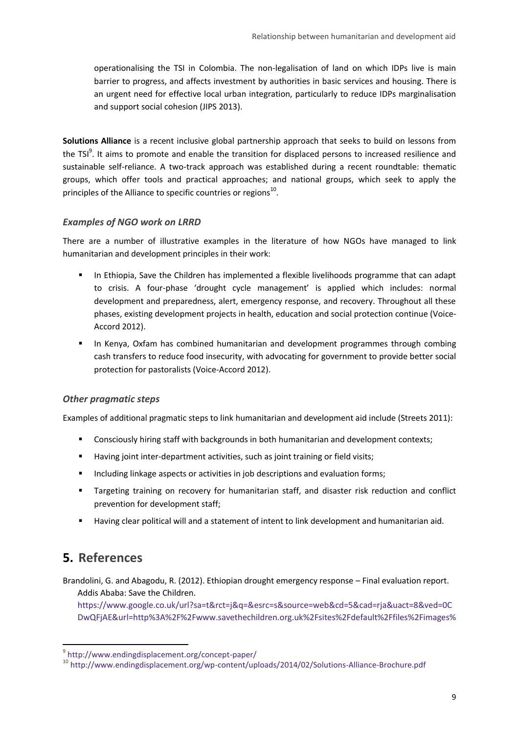operationalising the TSI in Colombia. The non-legalisation of land on which IDPs live is main barrier to progress, and affects investment by authorities in basic services and housing. There is an urgent need for effective local urban integration, particularly to reduce IDPs marginalisation and support social cohesion (JIPS 2013).

**Solutions Alliance** is a recent inclusive global partnership approach that seeks to build on lessons from the TSI<sup>9</sup>. It aims to promote and enable the transition for displaced persons to increased resilience and sustainable self-reliance. A two-track approach was established during a recent roundtable: thematic groups, which offer tools and practical approaches; and national groups, which seek to apply the principles of the Alliance to specific countries or regions<sup>10</sup>.

#### *Examples of NGO work on LRRD*

There are a number of illustrative examples in the literature of how NGOs have managed to link humanitarian and development principles in their work:

- In Ethiopia, Save the Children has implemented a flexible livelihoods programme that can adapt to crisis. A four-phase 'drought cycle management' is applied which includes: normal development and preparedness, alert, emergency response, and recovery. Throughout all these phases, existing development projects in health, education and social protection continue (Voice-Accord 2012).
- In Kenya, Oxfam has combined humanitarian and development programmes through combing cash transfers to reduce food insecurity, with advocating for government to provide better social protection for pastoralists (Voice-Accord 2012).

#### *Other pragmatic steps*

Examples of additional pragmatic steps to link humanitarian and development aid include (Streets 2011):

- **Consciously hiring staff with backgrounds in both humanitarian and development contexts;**
- Having joint inter-department activities, such as joint training or field visits;
- Including linkage aspects or activities in job descriptions and evaluation forms;
- Targeting training on recovery for humanitarian staff, and disaster risk reduction and conflict prevention for development staff;
- Having clear political will and a statement of intent to link development and humanitarian aid.

## <span id="page-8-0"></span>**5. References**

Brandolini, G. and Abagodu, R. (2012). Ethiopian drought emergency response – Final evaluation report. Addis Ababa: Save the Children.

[https://www.google.co.uk/url?sa=t&rct=j&q=&esrc=s&source=web&cd=5&cad=rja&uact=8&ved=0C](https://www.google.co.uk/url?sa=t&rct=j&q=&esrc=s&source=web&cd=5&cad=rja&uact=8&ved=0CDwQFjAE&url=http%3A%2F%2Fwww.savethechildren.org.uk%2Fsites%2Fdefault%2Ffiles%2Fimages%2FEvaluation_of_Emergency_Response_Ethiopia.docx&ei=Sci3VIeSK9fgavrXgJAE&usg=AFQjCNHZ2rGSKaXFWB0NXmvJJtFZLPQ2Vw&sig2=Q7Cgg01PTF0c7Zj47szzEQ) [DwQFjAE&url=http%3A%2F%2Fwww.savethechildren.org.uk%2Fsites%2Fdefault%2Ffiles%2Fimages%](https://www.google.co.uk/url?sa=t&rct=j&q=&esrc=s&source=web&cd=5&cad=rja&uact=8&ved=0CDwQFjAE&url=http%3A%2F%2Fwww.savethechildren.org.uk%2Fsites%2Fdefault%2Ffiles%2Fimages%2FEvaluation_of_Emergency_Response_Ethiopia.docx&ei=Sci3VIeSK9fgavrXgJAE&usg=AFQjCNHZ2rGSKaXFWB0NXmvJJtFZLPQ2Vw&sig2=Q7Cgg01PTF0c7Zj47szzEQ)

 9 <http://www.endingdisplacement.org/concept-paper/>

<sup>10</sup> <http://www.endingdisplacement.org/wp-content/uploads/2014/02/Solutions-Alliance-Brochure.pdf>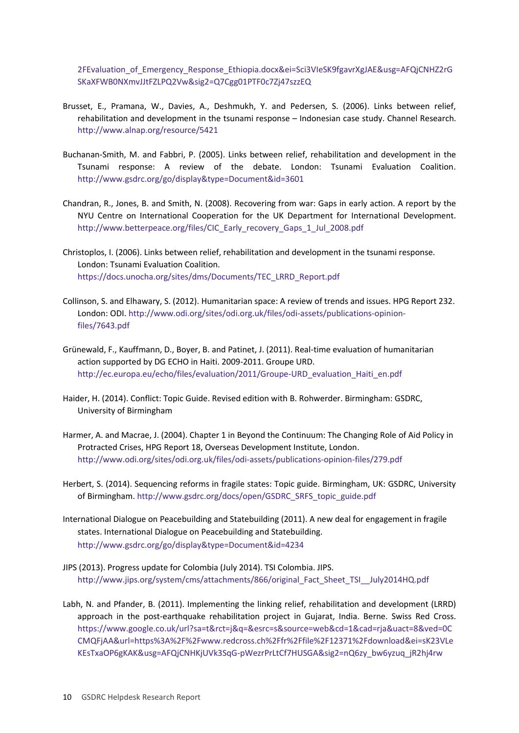2FEvaluation of Emergency Response Ethiopia.docx&ei=Sci3VIeSK9fgavrXgJAE&usg=AFQjCNHZ2rG [SKaXFWB0NXmvJJtFZLPQ2Vw&sig2=Q7Cgg01PTF0c7Zj47szzEQ](https://www.google.co.uk/url?sa=t&rct=j&q=&esrc=s&source=web&cd=5&cad=rja&uact=8&ved=0CDwQFjAE&url=http%3A%2F%2Fwww.savethechildren.org.uk%2Fsites%2Fdefault%2Ffiles%2Fimages%2FEvaluation_of_Emergency_Response_Ethiopia.docx&ei=Sci3VIeSK9fgavrXgJAE&usg=AFQjCNHZ2rGSKaXFWB0NXmvJJtFZLPQ2Vw&sig2=Q7Cgg01PTF0c7Zj47szzEQ)

- Brusset, E., Pramana, W., Davies, A., Deshmukh, Y. and Pedersen, S. (2006). Links between relief, rehabilitation and development in the tsunami response – Indonesian case study. Channel Research. <http://www.alnap.org/resource/5421>
- Buchanan-Smith, M. and Fabbri, P. (2005). Links between relief, rehabilitation and development in the Tsunami response: A review of the debate. London: Tsunami Evaluation Coalition. <http://www.gsdrc.org/go/display&type=Document&id=3601>
- Chandran, R., Jones, B. and Smith, N. (2008). Recovering from war: Gaps in early action. A report by the NYU Centre on International Cooperation for the UK Department for International Development. [http://www.betterpeace.org/files/CIC\\_Early\\_recovery\\_Gaps\\_1\\_Jul\\_2008.pdf](http://www.betterpeace.org/files/CIC_Early_recovery_Gaps_1_Jul_2008.pdf)
- Christoplos, I. (2006). Links between relief, rehabilitation and development in the tsunami response. London: Tsunami Evaluation Coalition. [https://docs.unocha.org/sites/dms/Documents/TEC\\_LRRD\\_Report.pdf](https://docs.unocha.org/sites/dms/Documents/TEC_LRRD_Report.pdf)
- Collinson, S. and Elhawary, S. (2012). Humanitarian space: A review of trends and issues. HPG Report 232. London: ODI[. http://www.odi.org/sites/odi.org.uk/files/odi-assets/publications-opinion](http://www.odi.org/sites/odi.org.uk/files/odi-assets/publications-opinion-files/7643.pdf)[files/7643.pdf](http://www.odi.org/sites/odi.org.uk/files/odi-assets/publications-opinion-files/7643.pdf)
- Grünewald, F., Kauffmann, D., Boyer, B. and Patinet, J. (2011). Real-time evaluation of humanitarian action supported by DG ECHO in Haiti. 2009-2011. Groupe URD. [http://ec.europa.eu/echo/files/evaluation/2011/Groupe-URD\\_evaluation\\_Haiti\\_en.pdf](http://ec.europa.eu/echo/files/evaluation/2011/Groupe-URD_evaluation_Haiti_en.pdf)
- Haider, H. (2014). Conflict: Topic Guide. Revised edition with B. Rohwerder. Birmingham: GSDRC, University of Birmingham
- [Harmer, A. and Macrae, J. \(2004\). Chapter 1 in Beyond the Continuum: The Changing Role of Aid Policy in](http://www.gsdrc.org/go/display&type=Document&id=1066)  [Protracted Crises, HPG Report 18, Overseas Development Institute, London.](http://www.gsdrc.org/go/display&type=Document&id=1066) <http://www.odi.org/sites/odi.org.uk/files/odi-assets/publications-opinion-files/279.pdf>
- Herbert, S. (2014). Sequencing reforms in fragile states: Topic guide. Birmingham, UK: GSDRC, University of Birmingham. [http://www.gsdrc.org/docs/open/GSDRC\\_SRFS\\_topic\\_guide.pdf](http://www.gsdrc.org/docs/open/GSDRC_SRFS_topic_guide.pdf)
- International Dialogue on Peacebuilding and Statebuilding (2011). A new deal for engagement in fragile states. International Dialogue on Peacebuilding and Statebuilding. <http://www.gsdrc.org/go/display&type=Document&id=4234>
- JIPS (2013). Progress update for Colombia (July 2014). TSI Colombia. JIPS. [http://www.jips.org/system/cms/attachments/866/original\\_Fact\\_Sheet\\_TSI\\_\\_July2014HQ.pdf](http://www.jips.org/system/cms/attachments/866/original_Fact_Sheet_TSI__July2014HQ.pdf)
- Labh, N. and Pfander, B. (2011). Implementing the linking relief, rehabilitation and development (LRRD) approach in the post-earthquake rehabilitation project in Gujarat, India. Berne. Swiss Red Cross. [https://www.google.co.uk/url?sa=t&rct=j&q=&esrc=s&source=web&cd=1&cad=rja&uact=8&ved=0C](https://www.google.co.uk/url?sa=t&rct=j&q=&esrc=s&source=web&cd=1&cad=rja&uact=8&ved=0CCMQFjAA&url=https%3A%2F%2Fwww.redcross.ch%2Ffr%2Ffile%2F12371%2Fdownload&ei=sK23VLeKEsTxaOP6gKAK&usg=AFQjCNHKjUVk3SqG-pWezrPrLtCf7HUSGA&sig2=nQ6zy_bw6yzuq_jR2hj4rw) [CMQFjAA&url=https%3A%2F%2Fwww.redcross.ch%2Ffr%2Ffile%2F12371%2Fdownload&ei=sK23VLe](https://www.google.co.uk/url?sa=t&rct=j&q=&esrc=s&source=web&cd=1&cad=rja&uact=8&ved=0CCMQFjAA&url=https%3A%2F%2Fwww.redcross.ch%2Ffr%2Ffile%2F12371%2Fdownload&ei=sK23VLeKEsTxaOP6gKAK&usg=AFQjCNHKjUVk3SqG-pWezrPrLtCf7HUSGA&sig2=nQ6zy_bw6yzuq_jR2hj4rw) [KEsTxaOP6gKAK&usg=AFQjCNHKjUVk3SqG-pWezrPrLtCf7HUSGA&sig2=nQ6zy\\_bw6yzuq\\_jR2hj4rw](https://www.google.co.uk/url?sa=t&rct=j&q=&esrc=s&source=web&cd=1&cad=rja&uact=8&ved=0CCMQFjAA&url=https%3A%2F%2Fwww.redcross.ch%2Ffr%2Ffile%2F12371%2Fdownload&ei=sK23VLeKEsTxaOP6gKAK&usg=AFQjCNHKjUVk3SqG-pWezrPrLtCf7HUSGA&sig2=nQ6zy_bw6yzuq_jR2hj4rw)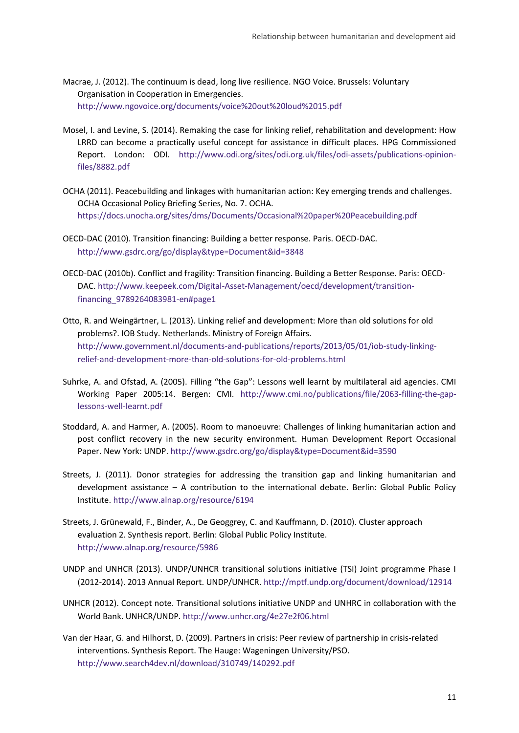- Macrae, J. (2012). The continuum is dead, long live resilience. NGO Voice. Brussels: Voluntary Organisation in Cooperation in Emergencies. <http://www.ngovoice.org/documents/voice%20out%20loud%2015.pdf>
- Mosel, I. and Levine, S. (2014). Remaking the case for linking relief, rehabilitation and development: How LRRD can become a practically useful concept for assistance in difficult places. HPG Commissioned Report. London: ODI. [http://www.odi.org/sites/odi.org.uk/files/odi-assets/publications-opinion](http://www.odi.org/sites/odi.org.uk/files/odi-assets/publications-opinion-files/8882.pdf)[files/8882.pdf](http://www.odi.org/sites/odi.org.uk/files/odi-assets/publications-opinion-files/8882.pdf)
- OCHA (2011). Peacebuilding and linkages with humanitarian action: Key emerging trends and challenges. OCHA Occasional Policy Briefing Series, No. 7. OCHA. <https://docs.unocha.org/sites/dms/Documents/Occasional%20paper%20Peacebuilding.pdf>
- OECD-DAC (2010). Transition financing: Building a better response. Paris. OECD-DAC. <http://www.gsdrc.org/go/display&type=Document&id=3848>
- OECD-DAC (2010b). Conflict and fragility: Transition financing. Building a Better Response. Paris: OECD-DAC. [http://www.keepeek.com/Digital-Asset-Management/oecd/development/transition](http://www.keepeek.com/Digital-Asset-Management/oecd/development/transition-financing_9789264083981-en#page1)[financing\\_9789264083981-en#page1](http://www.keepeek.com/Digital-Asset-Management/oecd/development/transition-financing_9789264083981-en#page1)
- Otto, R. and Weingärtner, L. (2013). Linking relief and development: More than old solutions for old problems?. IOB Study. Netherlands. Ministry of Foreign Affairs. [http://www.government.nl/documents-and-publications/reports/2013/05/01/iob-study-linking](http://www.government.nl/documents-and-publications/reports/2013/05/01/iob-study-linking-relief-and-development-more-than-old-solutions-for-old-problems.html)[relief-and-development-more-than-old-solutions-for-old-problems.html](http://www.government.nl/documents-and-publications/reports/2013/05/01/iob-study-linking-relief-and-development-more-than-old-solutions-for-old-problems.html)
- Suhrke, A. and Ofstad, A. (2005). Filling "the Gap": Lessons well learnt by multilateral aid agencies. CMI Working Paper 2005:14. Bergen: CMI. [http://www.cmi.no/publications/file/2063-filling-the-gap](http://www.cmi.no/publications/file/2063-filling-the-gap-lessons-well-learnt.pdf)[lessons-well-learnt.pdf](http://www.cmi.no/publications/file/2063-filling-the-gap-lessons-well-learnt.pdf)
- Stoddard, A. and Harmer, A. (2005). Room to manoeuvre: Challenges of linking humanitarian action and post conflict recovery in the new security environment. Human Development Report Occasional Paper. New York: UNDP[. http://www.gsdrc.org/go/display&type=Document&id=3590](http://www.gsdrc.org/go/display&type=Document&id=3590)
- Streets, J. (2011). Donor strategies for addressing the transition gap and linking humanitarian and development assistance – A contribution to the international debate. Berlin: Global Public Policy Institute.<http://www.alnap.org/resource/6194>
- Streets, J. Grünewald, F., Binder, A., De Geoggrey, C. and Kauffmann, D. (2010). Cluster approach evaluation 2. Synthesis report. Berlin: Global Public Policy Institute. <http://www.alnap.org/resource/5986>
- UNDP and UNHCR (2013). UNDP/UNHCR transitional solutions initiative (TSI) Joint programme Phase I (2012-2014). 2013 Annual Report. UNDP/UNHCR[. http://mptf.undp.org/document/download/12914](http://mptf.undp.org/document/download/12914)
- UNHCR (2012). Concept note. Transitional solutions initiative UNDP and UNHRC in collaboration with the World Bank. UNHCR/UNDP[. http://www.unhcr.org/4e27e2f06.html](http://www.unhcr.org/4e27e2f06.html)
- Van der Haar, G. and Hilhorst, D. (2009). Partners in crisis: Peer review of partnership in crisis-related interventions. Synthesis Report. The Hauge: Wageningen University/PSO. <http://www.search4dev.nl/download/310749/140292.pdf>